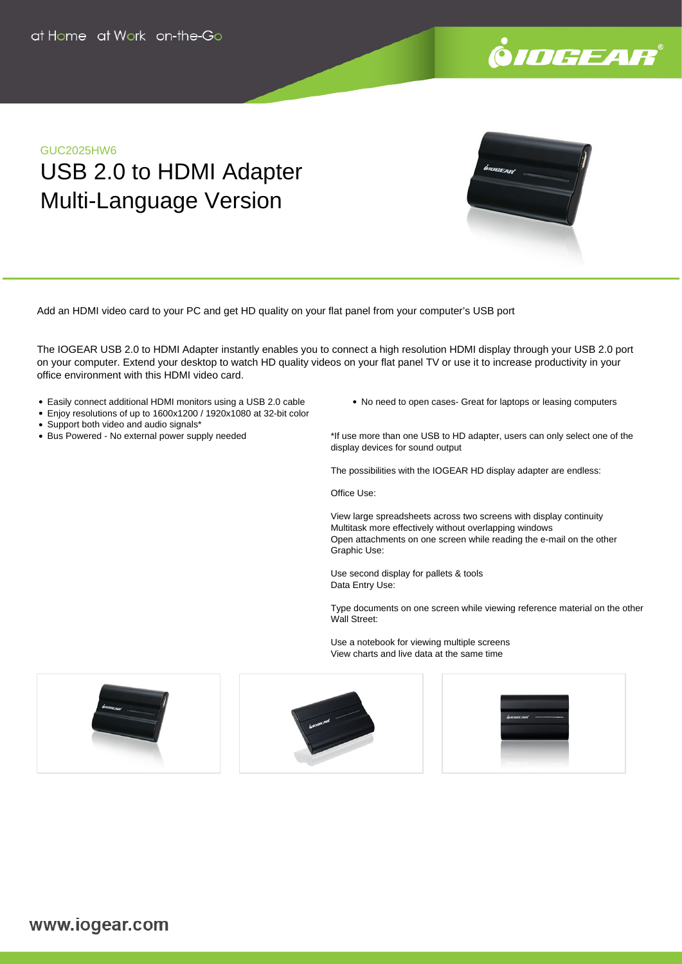

### GUC2025HW6

# USB 2.0 to HDMI Adapter Multi-Language Version

Add an HDMI video card to your PC and get HD quality on your flat panel from your computer's USB port

The IOGEAR USB 2.0 to HDMI Adapter instantly enables you to connect a high resolution HDMI display through your USB 2.0 port on your computer. Extend your desktop to watch HD quality videos on your flat panel TV or use it to increase productivity in your office environment with this HDMI video card.

- Easily connect additional HDMI monitors using a USB 2.0 cable
- Enjoy resolutions of up to 1600x1200 / 1920x1080 at 32-bit color
- Support both video and audio signals\*
- Bus Powered No external power supply needed

• No need to open cases- Great for laptops or leasing computers

\*If use more than one USB to HD adapter, users can only select one of the display devices for sound output

The possibilities with the IOGEAR HD display adapter are endless:

Office Use:

View large spreadsheets across two screens with display continuity Multitask more effectively without overlapping windows Open attachments on one screen while reading the e-mail on the other Graphic Use:

Use second display for pallets & tools Data Entry Use:

Type documents on one screen while viewing reference material on the other Wall Street:

Use a notebook for viewing multiple screens View charts and live data at the same time

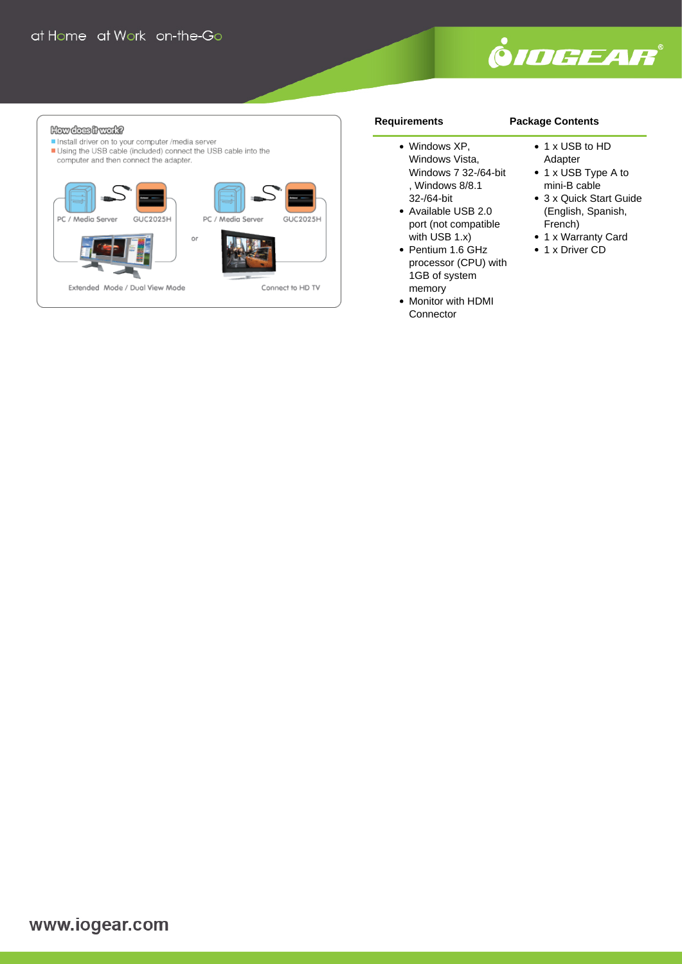

#### How dees front? Install driver on to your computer /media server Using the USB cable (included) connect the USB cable into the computer and then connect the adapter.



#### **Requirements**

## **Package Contents**

- Windows XP, Windows Vista, Windows 7 32-/64-bit , Windows 8/8.1 32-/64-bit
- Available USB 2.0 port (not compatible with USB 1.x)
- Pentium 1.6 GHz processor (CPU) with 1GB of system memory
- Monitor with HDMI **Connector**
- 1 x USB to HD Adapter
- 1 x USB Type A to mini-B cable
- 3 x Quick Start Guide (English, Spanish, French)
- 1 x Warranty Card
- 1 x Driver CD

www.iogear.com